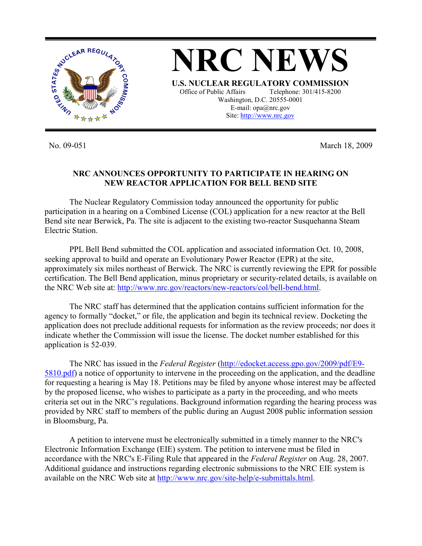

No. 09-051 March 18, 2009

## **NRC ANNOUNCES OPPORTUNITY TO PARTICIPATE IN HEARING ON NEW REACTOR APPLICATION FOR BELL BEND SITE**

 The Nuclear Regulatory Commission today announced the opportunity for public participation in a hearing on a Combined License (COL) application for a new reactor at the Bell Bend site near Berwick, Pa. The site is adjacent to the existing two-reactor Susquehanna Steam Electric Station.

PPL Bell Bend submitted the COL application and associated information Oct. 10, 2008, seeking approval to build and operate an Evolutionary Power Reactor (EPR) at the site, approximately six miles northeast of Berwick. The NRC is currently reviewing the EPR for possible certification. The Bell Bend application, minus proprietary or security-related details, is available on the NRC Web site at: http://www.nrc.gov/reactors/new-reactors/col/bell-bend.html.

 The NRC staff has determined that the application contains sufficient information for the agency to formally "docket," or file, the application and begin its technical review. Docketing the application does not preclude additional requests for information as the review proceeds; nor does it indicate whether the Commission will issue the license. The docket number established for this application is 52-039.

 The NRC has issued in the *Federal Register* (http://edocket.access.gpo.gov/2009/pdf/E9- 5810.pdf) a notice of opportunity to intervene in the proceeding on the application, and the deadline for requesting a hearing is May 18. Petitions may be filed by anyone whose interest may be affected by the proposed license, who wishes to participate as a party in the proceeding, and who meets criteria set out in the NRC's regulations. Background information regarding the hearing process was provided by NRC staff to members of the public during an August 2008 public information session in Bloomsburg, Pa.

 A petition to intervene must be electronically submitted in a timely manner to the NRC's Electronic Information Exchange (EIE) system. The petition to intervene must be filed in accordance with the NRC's E-Filing Rule that appeared in the *Federal Register* on Aug. 28, 2007. Additional guidance and instructions regarding electronic submissions to the NRC EIE system is available on the NRC Web site at http://www.nrc.gov/site-help/e-submittals.html.